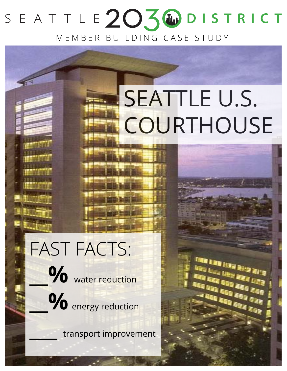## SEATTLE203WDISTRICT MEMBER BUILDING CASE STUDY

# SEATTLE U.S. **COURTHOUSE**

FAST FACTS:  $\%$  water reduction

**\_\_%** energy reduction

**\_\_\_** transport improvement